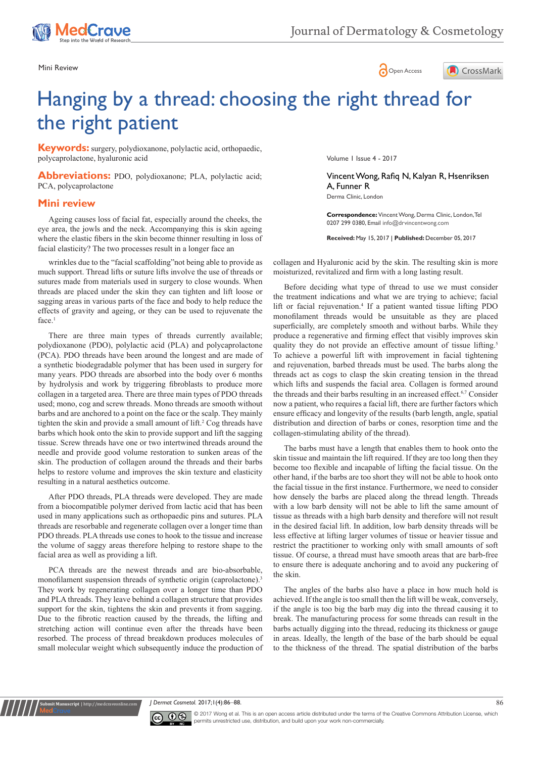





# Hanging by a thread: choosing the right thread for the right patient

**Keywords:** surgery, polydioxanone, polylactic acid, orthopaedic, polycaprolactone, hyaluronic acid

**Abbreviations:** PDO, polydioxanone; PLA, polylactic acid; PCA, polycaprolactone

# **Mini review**

Ageing causes loss of facial fat, especially around the cheeks, the eye area, the jowls and the neck. Accompanying this is skin ageing where the elastic fibers in the skin become thinner resulting in loss of facial elasticity? The two processes result in a longer face an

wrinkles due to the "facial scaffolding"not being able to provide as much support. Thread lifts or suture lifts involve the use of threads or sutures made from materials used in surgery to close wounds. When threads are placed under the skin they can tighten and lift loose or sagging areas in various parts of the face and body to help reduce the effects of gravity and ageing, or they can be used to rejuvenate the face.<sup>1</sup>

There are three main types of threads currently available; polydioxanone (PDO), polylactic acid (PLA) and polycaprolactone (PCA). PDO threads have been around the longest and are made of a synthetic biodegradable polymer that has been used in surgery for many years. PDO threads are absorbed into the body over 6 months by hydrolysis and work by triggering fibroblasts to produce more collagen in a targeted area. There are three main types of PDO threads used; mono, cog and screw threads. Mono threads are smooth without barbs and are anchored to a point on the face or the scalp. They mainly tighten the skin and provide a small amount of lift.<sup>2</sup> Cog threads have barbs which hook onto the skin to provide support and lift the sagging tissue. Screw threads have one or two intertwined threads around the needle and provide good volume restoration to sunken areas of the skin. The production of collagen around the threads and their barbs helps to restore volume and improves the skin texture and elasticity resulting in a natural aesthetics outcome.

After PDO threads, PLA threads were developed. They are made from a biocompatible polymer derived from lactic acid that has been used in many applications such as orthopaedic pins and sutures. PLA threads are resorbable and regenerate collagen over a longer time than PDO threads. PLA threads use cones to hook to the tissue and increase the volume of saggy areas therefore helping to restore shape to the facial area as well as providing a lift.

PCA threads are the newest threads and are bio-absorbable, monofilament suspension threads of synthetic origin (caprolactone). They work by regenerating collagen over a longer time than PDO and PLA threads. They leave behind a collagen structure that provides support for the skin, tightens the skin and prevents it from sagging. Due to the fibrotic reaction caused by the threads, the lifting and stretching action will continue even after the threads have been resorbed. The process of thread breakdown produces molecules of small molecular weight which subsequently induce the production of Volume 1 Issue 4 - 2017

Vincent Wong, Rafiq N, Kalyan R, Hsenriksen A, Funner R

Derma Clinic, London

**Correspondence:** Vincent Wong, Derma Clinic, London, Tel 0207 299 0380, Email info@drvincentwong.com

**Received:** May 15, 2017 | **Published:** December 05, 2017

collagen and Hyaluronic acid by the skin. The resulting skin is more moisturized, revitalized and firm with a long lasting result.

Before deciding what type of thread to use we must consider the treatment indications and what we are trying to achieve; facial lift or facial rejuvenation.4 If a patient wanted tissue lifting PDO monofilament threads would be unsuitable as they are placed superficially, are completely smooth and without barbs. While they produce a regenerative and firming effect that visibly improves skin quality they do not provide an effective amount of tissue lifting.<sup>5</sup> To achieve a powerful lift with improvement in facial tightening and rejuvenation, barbed threads must be used. The barbs along the threads act as cogs to clasp the skin creating tension in the thread which lifts and suspends the facial area. Collagen is formed around the threads and their barbs resulting in an increased effect.6,7 Consider now a patient, who requires a facial lift, there are further factors which ensure efficacy and longevity of the results (barb length, angle, spatial distribution and direction of barbs or cones, resorption time and the collagen-stimulating ability of the thread).

The barbs must have a length that enables them to hook onto the skin tissue and maintain the lift required. If they are too long then they become too flexible and incapable of lifting the facial tissue. On the other hand, if the barbs are too short they will not be able to hook onto the facial tissue in the first instance. Furthermore, we need to consider how densely the barbs are placed along the thread length. Threads with a low barb density will not be able to lift the same amount of tissue as threads with a high barb density and therefore will not result in the desired facial lift. In addition, low barb density threads will be less effective at lifting larger volumes of tissue or heavier tissue and restrict the practitioner to working only with small amounts of soft tissue. Of course, a thread must have smooth areas that are barb-free to ensure there is adequate anchoring and to avoid any puckering of the skin.

The angles of the barbs also have a place in how much hold is achieved. If the angle is too small then the lift will be weak, conversely, if the angle is too big the barb may dig into the thread causing it to break. The manufacturing process for some threads can result in the barbs actually digging into the thread, reducing its thickness or gauge in areas. Ideally, the length of the base of the barb should be equal to the thickness of the thread. The spatial distribution of the barbs

*J Dermat Cosmetol.* 2017;1(4):86‒88. 86



**ubmit Manuscript** | http://medcra

© 2017 Wong et al. This is an open access article distributed under the terms of the [Creative Commons Attribution License,](https://creativecommons.org/licenses/by-nc/4.0/) which permits unrestricted use, distribution, and build upon your work non-commercially.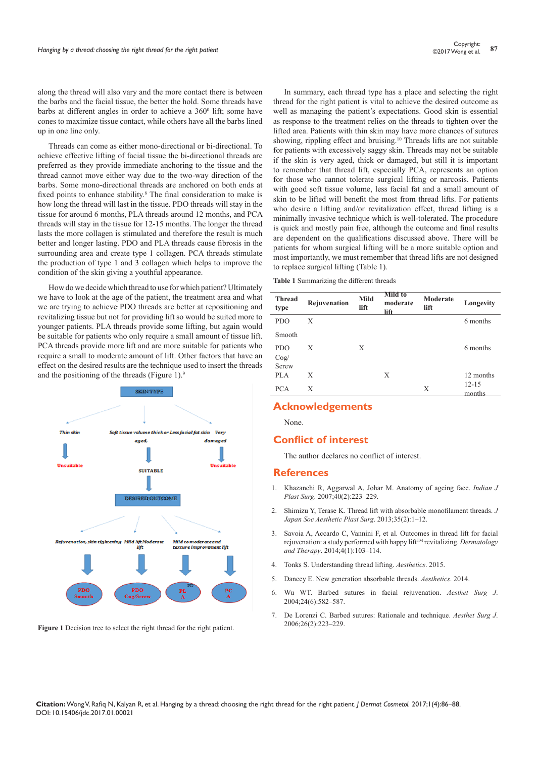along the thread will also vary and the more contact there is between the barbs and the facial tissue, the better the hold. Some threads have barbs at different angles in order to achieve a  $360^{\circ}$  lift; some have cones to maximize tissue contact, while others have all the barbs lined up in one line only.

Threads can come as either mono-directional or bi-directional. To achieve effective lifting of facial tissue the bi-directional threads are preferred as they provide immediate anchoring to the tissue and the thread cannot move either way due to the two-way direction of the barbs. Some mono-directional threads are anchored on both ends at fixed points to enhance stability.<sup>8</sup> The final consideration to make is how long the thread will last in the tissue. PDO threads will stay in the tissue for around 6 months, PLA threads around 12 months, and PCA threads will stay in the tissue for 12-15 months. The longer the thread lasts the more collagen is stimulated and therefore the result is much better and longer lasting. PDO and PLA threads cause fibrosis in the surrounding area and create type 1 collagen. PCA threads stimulate the production of type 1 and 3 collagen which helps to improve the condition of the skin giving a youthful appearance.

How do we decide which thread to use for which patient? Ultimately we have to look at the age of the patient, the treatment area and what we are trying to achieve. PDO threads are better at repositioning and revitalizing tissue but not for providing lift so would be suited more to younger patients. PLA threads provide some lifting, but again would be suitable for patients who only require a small amount of tissue lift. PCA threads provide more lift and are more suitable for patients who require a small to moderate amount of lift. Other factors that have an effect on the desired results are the technique used to insert the threads and the positioning of the threads (Figure 1).<sup>9</sup>



Figure 1 Decision tree to select the right thread for the right patient.

In summary, each thread type has a place and selecting the right thread for the right patient is vital to achieve the desired outcome as well as managing the patient's expectations. Good skin is essential as response to the treatment relies on the threads to tighten over the lifted area. Patients with thin skin may have more chances of sutures showing, rippling effect and bruising.<sup>10</sup> Threads lifts are not suitable for patients with excessively saggy skin. Threads may not be suitable if the skin is very aged, thick or damaged, but still it is important to remember that thread lift, especially PCA, represents an option for those who cannot tolerate surgical lifting or narcosis. Patients with good soft tissue volume, less facial fat and a small amount of skin to be lifted will benefit the most from thread lifts. For patients who desire a lifting and/or revitalization effect, thread lifting is a minimally invasive technique which is well-tolerated. The procedure is quick and mostly pain free, although the outcome and final results are dependent on the qualifications discussed above. There will be patients for whom surgical lifting will be a more suitable option and most importantly, we must remember that thread lifts are not designed to replace surgical lifting (Table 1).

**Table 1** Summarizing the different threads

| <b>Thread</b><br>type       | Rejuvenation | <b>Mild</b><br>lift | Mild to<br>moderate<br>lift | Moderate<br>lift | Longevity           |
|-----------------------------|--------------|---------------------|-----------------------------|------------------|---------------------|
| <b>PDO</b>                  | X            |                     |                             |                  | 6 months            |
| Smooth                      |              |                     |                             |                  |                     |
| <b>PDO</b><br>Cog/<br>Screw | X            | X                   |                             |                  | 6 months            |
| PLA                         | X            |                     | X                           |                  | 12 months           |
| <b>PCA</b>                  | X            |                     |                             | Х                | $12 - 15$<br>months |

### **Acknowledgements**

None.

## **Conflict of interest**

The author declares no conflict of interest.

#### **References**

- 1. [Khazanchi R, Aggarwal A, Johar M. Anatomy of ageing face.](https://www.ncbi.nlm.nih.gov/pubmed/24370442) *Indian J Plast Surg*[. 2007;40\(2\):223–229.](https://www.ncbi.nlm.nih.gov/pubmed/24370442)
- 2. [Shimizu Y, Terase K. Thread lift with absorbable monofilament threads.](http://www.mesothread.com/filebox/%5bJSAPS%5dDr.%20Yuki%20Shimizu_LFL.pdf) *J [Japan Soc Aesthetic Plast Surg](http://www.mesothread.com/filebox/%5bJSAPS%5dDr.%20Yuki%20Shimizu_LFL.pdf)*. 2013;35(2):1–12.
- 3. [Savoia A, Accardo C, Vannini F, et al. Outcomes in thread lift for facial](https://www.ncbi.nlm.nih.gov/pubmed/24436079/)  rejuvenation: a study performed with happy lift<sup>TM</sup> revitalizing. *Dermatology and Therapy*[. 2014;4\(1\):103–114.](https://www.ncbi.nlm.nih.gov/pubmed/24436079/)
- 4. [Tonks S. Understanding thread lifting.](https://aestheticsjournal.com/feature/understanding-thread-lifting) *Aesthetics*. 2015.
- 5. [Dancey E. New generation absorbable threads.](http://aestheticsjournal.com/feature/new-generation-absorbable-threads) *Aesthetics*. 2014.
- 6. [Wu WT. Barbed sutures in facial rejuvenation.](https://www.ncbi.nlm.nih.gov/pubmed/19336215) *Aesthet Surg J*. [2004;24\(6\):582–587.](https://www.ncbi.nlm.nih.gov/pubmed/19336215)
- 7. [De Lorenzi C. Barbed sutures: Rationale and technique.](https://academic.oup.com/asj/article/26/2/223/219010) *Aesthet Surg J*. [2006;26\(2\):223–229.](https://academic.oup.com/asj/article/26/2/223/219010)